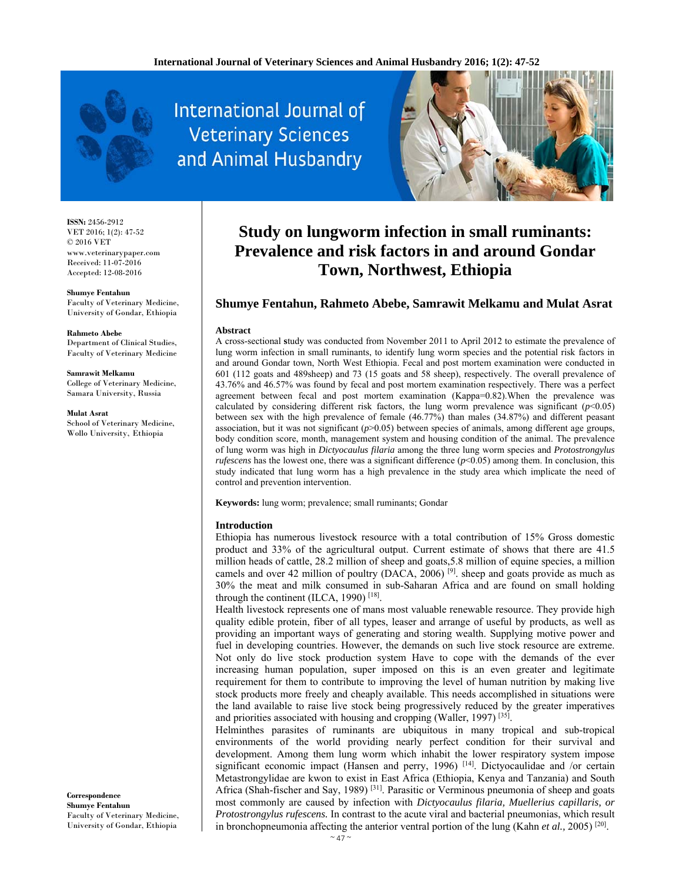

International Journal of **Veterinary Sciences** and Animal Husbandry



**ISSN:** 2456-2912 VET 2016; 1(2): 47-52  $\odot$  2016 VET www.veterinarypaper.com Received: 11-07-2016 Accepted: 12-08-2016

**Shumye Fentahun**  Faculty of Veterinary Medicine, University of Gondar, Ethiopia

**Rahmeto Abebe**  Department of Clinical Studies, Faculty of Veterinary Medicine

**Samrawit Melkamu**  College of Veterinary Medicine, Samara University, Russia

**Mulat Asrat**  School of Veterinary Medicine, Wollo University, Ethiopia

# **Study on lungworm infection in small ruminants: Prevalence and risk factors in and around Gondar Town, Northwest, Ethiopia**

# **Shumye Fentahun, Rahmeto Abebe, Samrawit Melkamu and Mulat Asrat**

#### **Abstract**

A cross-sectional **s**tudy was conducted from November 2011 to April 2012 to estimate the prevalence of lung worm infection in small ruminants, to identify lung worm species and the potential risk factors in and around Gondar town, North West Ethiopia. Fecal and post mortem examination were conducted in 601 (112 goats and 489sheep) and 73 (15 goats and 58 sheep), respectively. The overall prevalence of 43.76% and 46.57% was found by fecal and post mortem examination respectively. There was a perfect agreement between fecal and post mortem examination (Kappa=0.82).When the prevalence was calculated by considering different risk factors, the lung worm prevalence was significant  $(p<0.05)$ between sex with the high prevalence of female (46.77%) than males (34.87%) and different peasant association, but it was not significant  $(p>0.05)$  between species of animals, among different age groups, body condition score, month, management system and housing condition of the animal. The prevalence of lung worm was high in *Dictyocaulus filaria* among the three lung worm species and *Protostrongylus rufescens* has the lowest one, there was a significant difference ( $p$ <0.05) among them. In conclusion, this study indicated that lung worm has a high prevalence in the study area which implicate the need of control and prevention intervention.

**Keywords:** lung worm; prevalence; small ruminants; Gondar

# **Introduction**

Ethiopia has numerous livestock resource with a total contribution of 15% Gross domestic product and 33% of the agricultural output. Current estimate of shows that there are 41.5 million heads of cattle, 28.2 million of sheep and goats,5.8 million of equine species, a million camels and over 42 million of poultry (DACA, 2006)  $[9]$ . sheep and goats provide as much as 30% the meat and milk consumed in sub-Saharan Africa and are found on small holding through the continent (ILCA, 1990)<sup>[18]</sup>.

Health livestock represents one of mans most valuable renewable resource. They provide high quality edible protein, fiber of all types, leaser and arrange of useful by products, as well as providing an important ways of generating and storing wealth. Supplying motive power and fuel in developing countries. However, the demands on such live stock resource are extreme. Not only do live stock production system Have to cope with the demands of the ever increasing human population, super imposed on this is an even greater and legitimate requirement for them to contribute to improving the level of human nutrition by making live stock products more freely and cheaply available. This needs accomplished in situations were the land available to raise live stock being progressively reduced by the greater imperatives and priorities associated with housing and cropping (Waller, 1997) [35].

Helminthes parasites of ruminants are ubiquitous in many tropical and sub-tropical environments of the world providing nearly perfect condition for their survival and development. Among them lung worm which inhabit the lower respiratory system impose significant economic impact (Hansen and perry, 1996)<sup>[14]</sup>. Dictyocaulidae and /or certain Metastrongylidae are kwon to exist in East Africa (Ethiopia, Kenya and Tanzania) and South Africa (Shah-fischer and Say, 1989)<sup>[31]</sup>. Parasitic or Verminous pneumonia of sheep and goats most commonly are caused by infection with *Dictyocaulus filaria, Muellerius capillaris, or Protostrongylus rufescens.* In contrast to the acute viral and bacterial pneumonias, which result in bronchopneumonia affecting the anterior ventral portion of the lung (Kahn *et al.,* 2005) [20].

**Correspondence Shumye Fentahun**  Faculty of Veterinary Medicine, University of Gondar, Ethiopia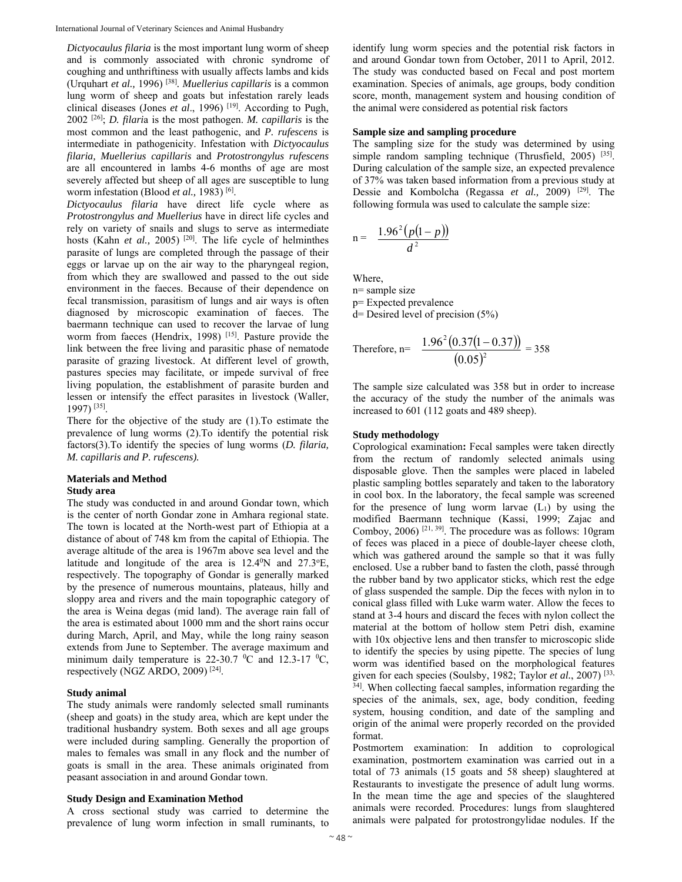*Dictyocaulus filaria* is the most important lung worm of sheep and is commonly associated with chronic syndrome of coughing and unthriftiness with usually affects lambs and kids (Urquhart *et al.,* 1996) [38]*. Muellerius capillaris* is a common lung worm of sheep and goats but infestation rarely leads clinical diseases (Jones *et al.*, 1996)<sup>[19]</sup>. According to Pugh, 2002 [26]; *D. filari*a is the most pathogen. *M. capillaris* is the most common and the least pathogenic, and *P. rufescens* is intermediate in pathogenicity. Infestation with *Dictyocaulus filaria, Muellerius capillaris* and *Protostrongylus rufescens* are all encountered in lambs 4-6 months of age are most severely affected but sheep of all ages are susceptible to lung worm infestation (Blood *et al.,* 1983) [6].

*Dictyocaulus filaria* have direct life cycle where as *Protostrongylus and Muellerius* have in direct life cycles and rely on variety of snails and slugs to serve as intermediate hosts (Kahn *et al.*, 2005)<sup>[20]</sup>. The life cycle of helminthes parasite of lungs are completed through the passage of their eggs or larvae up on the air way to the pharyngeal region, from which they are swallowed and passed to the out side environment in the faeces. Because of their dependence on fecal transmission, parasitism of lungs and air ways is often diagnosed by microscopic examination of faeces. The baermann technique can used to recover the larvae of lung worm from faeces (Hendrix, 1998) [15]. Pasture provide the link between the free living and parasitic phase of nematode parasite of grazing livestock. At different level of growth, pastures species may facilitate, or impede survival of free living population, the establishment of parasite burden and lessen or intensify the effect parasites in livestock (Waller, 1997) [35].

There for the objective of the study are (1).To estimate the prevalence of lung worms (2).To identify the potential risk factors(3).To identify the species of lung worms (*D. filaria, M. capillaris and P. rufescens).* 

### **Materials and Method Study area**

The study was conducted in and around Gondar town, which is the center of north Gondar zone in Amhara regional state. The town is located at the North-west part of Ethiopia at a distance of about of 748 km from the capital of Ethiopia. The average altitude of the area is 1967m above sea level and the latitude and longitude of the area is 12.4<sup>0</sup>N and 27.3<sup>o</sup>E, respectively. The topography of Gondar is generally marked by the presence of numerous mountains, plateaus, hilly and sloppy area and rivers and the main topographic category of the area is Weina degas (mid land). The average rain fall of the area is estimated about 1000 mm and the short rains occur during March, April, and May, while the long rainy season extends from June to September. The average maximum and minimum daily temperature is 22-30.7  $\mathrm{^0C}$  and 12.3-17  $\mathrm{^0C}$ , respectively (NGZ ARDO, 2009)  $[24]$ .

#### **Study animal**

The study animals were randomly selected small ruminants (sheep and goats) in the study area, which are kept under the traditional husbandry system. Both sexes and all age groups were included during sampling. Generally the proportion of males to females was small in any flock and the number of goats is small in the area. These animals originated from peasant association in and around Gondar town.

#### **Study Design and Examination Method**

A cross sectional study was carried to determine the prevalence of lung worm infection in small ruminants, to identify lung worm species and the potential risk factors in and around Gondar town from October, 2011 to April, 2012. The study was conducted based on Fecal and post mortem examination. Species of animals, age groups, body condition score, month, management system and housing condition of the animal were considered as potential risk factors

#### **Sample size and sampling procedure**

The sampling size for the study was determined by using simple random sampling technique (Thrusfield, 2005)  $^{[35]}$ . During calculation of the sample size, an expected prevalence of 37% was taken based information from a previous study at Dessie and Kombolcha (Regassa *et al.,* 2009) [29]. The following formula was used to calculate the sample size:

$$
n = \frac{1.96^2 (p(1-p))}{d^2}
$$

Where,

n= sample size

p= Expected prevalence

d= Desired level of precision (5%)

Therefore, n= 
$$
\frac{1.96^2 (0.37(1-0.37))}{(0.05)^2} = 358
$$

The sample size calculated was 358 but in order to increase the accuracy of the study the number of the animals was increased to 601 (112 goats and 489 sheep).

#### **Study methodology**

Coprological examination**:** Fecal samples were taken directly from the rectum of randomly selected animals using disposable glove. Then the samples were placed in labeled plastic sampling bottles separately and taken to the laboratory in cool box. In the laboratory, the fecal sample was screened for the presence of lung worm larvae  $(L_1)$  by using the modified Baermann technique (Kassi, 1999; Zajac and Comboy, 2006)  $[21, 39]$ . The procedure was as follows: 10gram of feces was placed in a piece of double-layer cheese cloth, which was gathered around the sample so that it was fully enclosed. Use a rubber band to fasten the cloth, passé through the rubber band by two applicator sticks, which rest the edge of glass suspended the sample. Dip the feces with nylon in to conical glass filled with Luke warm water. Allow the feces to stand at 3-4 hours and discard the feces with nylon collect the material at the bottom of hollow stem Petri dish, examine with 10x objective lens and then transfer to microscopic slide to identify the species by using pipette. The species of lung worm was identified based on the morphological features given for each species (Soulsby, 1982; Taylor *et al.*, 2007) [33, <sup>34]</sup>. When collecting faecal samples, information regarding the species of the animals, sex, age, body condition, feeding system, housing condition, and date of the sampling and origin of the animal were properly recorded on the provided format.

Postmortem examination: In addition to coprological examination, postmortem examination was carried out in a total of 73 animals (15 goats and 58 sheep) slaughtered at Restaurants to investigate the presence of adult lung worms. In the mean time the age and species of the slaughtered animals were recorded. Procedures: lungs from slaughtered animals were palpated for protostrongylidae nodules. If the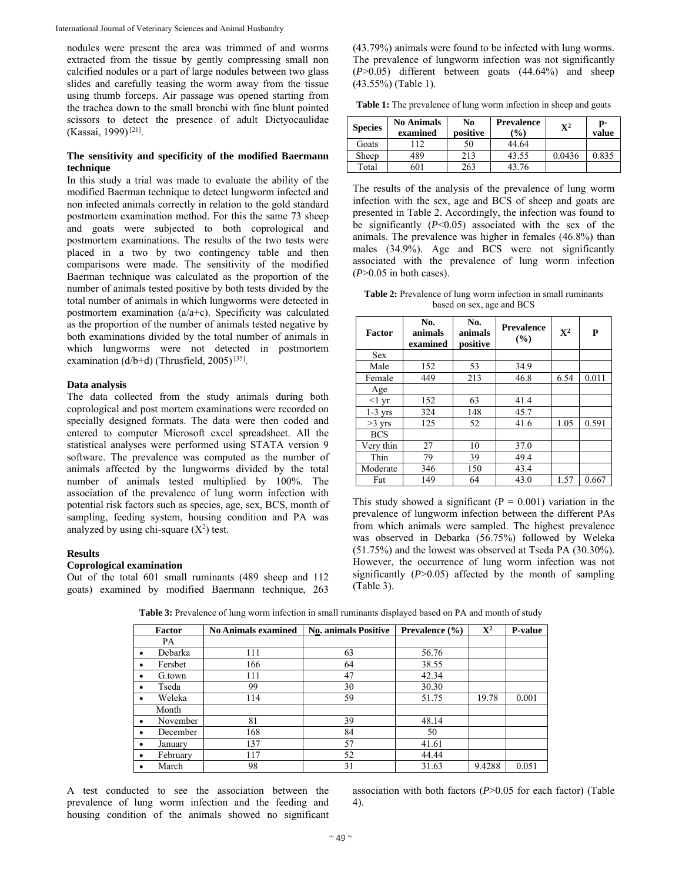International Journal of Veterinary Sciences and Animal Husbandry

nodules were present the area was trimmed of and worms extracted from the tissue by gently compressing small non calcified nodules or a part of large nodules between two glass slides and carefully teasing the worm away from the tissue using thumb forceps. Air passage was opened starting from the trachea down to the small bronchi with fine blunt pointed scissors to detect the presence of adult Dictyocaulidae (Kassai, 1999) [21].

# **The sensitivity and specificity of the modified Baermann technique**

In this study a trial was made to evaluate the ability of the modified Baerman technique to detect lungworm infected and non infected animals correctly in relation to the gold standard postmortem examination method. For this the same 73 sheep and goats were subjected to both coprological and postmortem examinations. The results of the two tests were placed in a two by two contingency table and then comparisons were made. The sensitivity of the modified Baerman technique was calculated as the proportion of the number of animals tested positive by both tests divided by the total number of animals in which lungworms were detected in postmortem examination (a/a+c). Specificity was calculated as the proportion of the number of animals tested negative by both examinations divided by the total number of animals in which lungworms were not detected in postmortem examination (d/b+d) (Thrusfield, 2005)<sup>[35]</sup>.

### **Data analysis**

The data collected from the study animals during both coprological and post mortem examinations were recorded on specially designed formats. The data were then coded and entered to computer Microsoft excel spreadsheet. All the statistical analyses were performed using STATA version 9 software. The prevalence was computed as the number of animals affected by the lungworms divided by the total number of animals tested multiplied by 100%. The association of the prevalence of lung worm infection with potential risk factors such as species, age, sex, BCS, month of sampling, feeding system, housing condition and PA was analyzed by using chi-square  $(X^2)$  test.

#### **Results**

## **Coprological examination**

Out of the total 601 small ruminants (489 sheep and 112 goats) examined by modified Baermann technique, 263 (43.79%) animals were found to be infected with lung worms. The prevalence of lungworm infection was not significantly (*P*>0.05) different between goats (44.64%) and sheep (43.55%) (Table 1).

**Table 1:** The prevalence of lung worm infection in sheep and goats

| <b>Species</b> | <b>No Animals</b><br>examined | No<br>positive | <b>Prevalence</b><br>$\frac{6}{2}$ | $\mathbf{X}^2$ | p-<br>value |
|----------------|-------------------------------|----------------|------------------------------------|----------------|-------------|
| Goats          | 112                           | 50             | 44.64                              |                |             |
| Sheep          | 489                           | 213            | 43.55                              | 0.0436         | 0.835       |
| Total          | 601                           | 263            | 43.76                              |                |             |

The results of the analysis of the prevalence of lung worm infection with the sex, age and BCS of sheep and goats are presented in Table 2. Accordingly, the infection was found to be significantly (*P*<0.05) associated with the sex of the animals. The prevalence was higher in females (46.8%) than males (34.9%). Age and BCS were not significantly associated with the prevalence of lung worm infection (*P*>0.05 in both cases).

**Table 2:** Prevalence of lung worm infection in small ruminants based on sex, age and BCS

| Factor          | No.<br>animals<br>examined | No.<br>animals<br>positive | <b>Prevalence</b><br>(%) | $\mathbf{X}^2$ | P     |
|-----------------|----------------------------|----------------------------|--------------------------|----------------|-------|
| <b>Sex</b>      |                            |                            |                          |                |       |
| Male            | 152                        | 53                         | 34.9                     |                |       |
| Female          | 449                        | 213                        | 46.8                     | 6.54           | 0.011 |
| Age             |                            |                            |                          |                |       |
| $<1 \text{ yr}$ | 152                        | 63                         | 41.4                     |                |       |
| $1-3$ yrs       | 324                        | 148                        | 45.7                     |                |       |
| $>3$ yrs        | 125                        | 52                         | 41.6                     | 1.05           | 0.591 |
| <b>BCS</b>      |                            |                            |                          |                |       |
| Very thin       | 27                         | 10                         | 37.0                     |                |       |
| Thin            | 79                         | 39                         | 49.4                     |                |       |
| Moderate        | 346                        | 150                        | 43.4                     |                |       |
| Fat             | 149                        | 64                         | 43.0                     | 1.57           | 0.667 |

This study showed a significant ( $P = 0.001$ ) variation in the prevalence of lungworm infection between the different PAs from which animals were sampled. The highest prevalence was observed in Debarka (56.75%) followed by Weleka (51.75%) and the lowest was observed at Tseda PA (30.30%). However, the occurrence of lung worm infection was not significantly  $(P>0.05)$  affected by the month of sampling (Table 3).

|           | Factor   | <b>No Animals examined</b> | <b>No. animals Positive</b> | Prevalence (%) | $\mathbf{X}^2$ | <b>P-value</b> |
|-----------|----------|----------------------------|-----------------------------|----------------|----------------|----------------|
|           | PA       |                            |                             |                |                |                |
|           | Debarka  | 111                        | 63                          | 56.76          |                |                |
| $\bullet$ | Fersbet  | 166                        | 64                          | 38.55          |                |                |
| $\bullet$ | G.town   | 111                        | 47                          | 42.34          |                |                |
| $\bullet$ | Tseda    | 99                         | 30                          | 30.30          |                |                |
| ٠         | Weleka   | 114                        | 59                          | 51.75          | 19.78          | 0.001          |
|           | Month    |                            |                             |                |                |                |
|           | November | 81                         | 39                          | 48.14          |                |                |
| ٠         | December | 168                        | 84                          | 50             |                |                |
|           | January  | 137                        | 57                          | 41.61          |                |                |
| $\bullet$ | February | 117                        | 52                          | 44.44          |                |                |
|           | March    | 98                         | 31                          | 31.63          | 9.4288         | 0.051          |

**Table 3:** Prevalence of lung worm infection in small ruminants displayed based on PA and month of study

A test conducted to see the association between the prevalence of lung worm infection and the feeding and housing condition of the animals showed no significant

association with both factors (*P*>0.05 for each factor) (Table 4).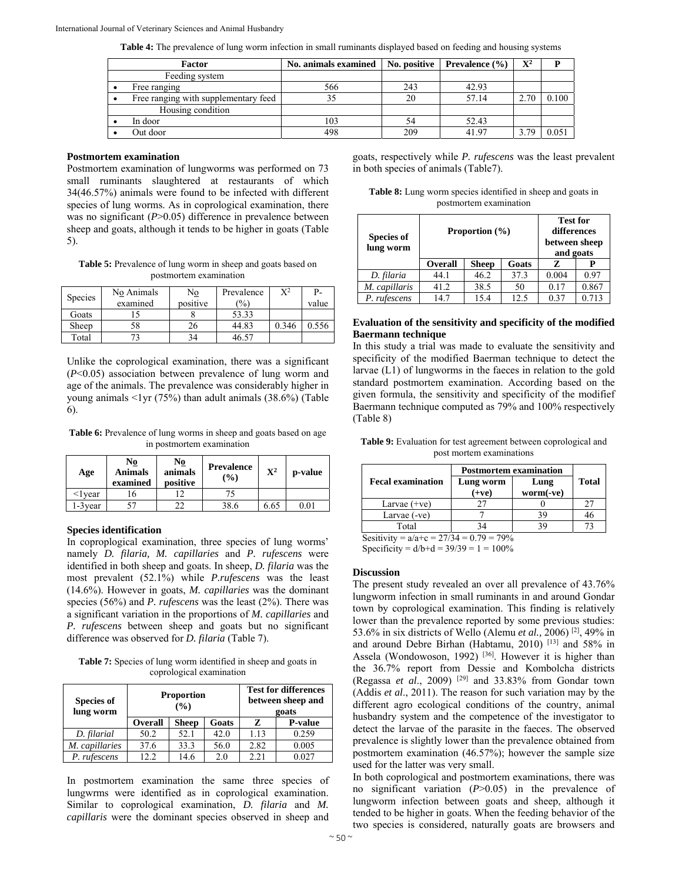**Table 4:** The prevalence of lung worm infection in small ruminants displayed based on feeding and housing systems

| Factor |                                      | No. animals examined | No. positive | <b>Prevalence</b> $(\% )$ | $\mathbf{X}^2$ |       |
|--------|--------------------------------------|----------------------|--------------|---------------------------|----------------|-------|
|        | Feeding system                       |                      |              |                           |                |       |
|        | Free ranging                         | 566                  | 243          | 42.93                     |                |       |
|        | Free ranging with supplementary feed |                      | 20           | 57.14                     | 2.70           | 0.100 |
|        | Housing condition                    |                      |              |                           |                |       |
|        | In door                              | 103                  | 54           | 52.43                     |                |       |
|        | Out door                             | 498                  | 209          | 41.97                     | 3.79           | 0.051 |

#### **Postmortem examination**

Postmortem examination of lungworms was performed on 73 small ruminants slaughtered at restaurants of which 34(46.57%) animals were found to be infected with different species of lung worms. As in coprological examination, there was no significant (*P*>0.05) difference in prevalence between sheep and goats, although it tends to be higher in goats (Table 5).

**Table 5:** Prevalence of lung worm in sheep and goats based on postmortem examination

| <b>Species</b> | No Animals<br>examined | No<br>positive | Prevalence<br>$\frac{1}{2}$ | $\mathrm{X}^2$ | P-<br>value |
|----------------|------------------------|----------------|-----------------------------|----------------|-------------|
| Goats          |                        |                | 53.33                       |                |             |
| Sheep          | 58                     | 26             | 44.83                       | 0.346          | 0.556       |
| Total          |                        | 34             | 46.57                       |                |             |

Unlike the coprological examination, there was a significant (*P*<0.05) association between prevalence of lung worm and age of the animals. The prevalence was considerably higher in young animals <1yr (75%) than adult animals (38.6%) (Table 6).

**Table 6:** Prevalence of lung worms in sheep and goats based on age in postmortem examination

| Age           | No<br><b>Animals</b><br>examined | No<br>animals<br>positive | <b>Prevalence</b><br>$($ %) | $\mathbf{X}^2$ | p-value |
|---------------|----------------------------------|---------------------------|-----------------------------|----------------|---------|
| $\leq$ l vear |                                  |                           | 75                          |                |         |
| .-3 year      | 57                               | າາ                        | 38.6                        | 6.65           | 0.01    |

#### **Species identification**

In coproplogical examination, three species of lung worms' namely *D. filaria, M. capillaries* and *P. rufescens* were identified in both sheep and goats. In sheep, *D. filaria* was the most prevalent (52.1%) while *P.rufescens* was the least (14.6%). However in goats, *M. capillaries* was the dominant species (56%) and *P. rufescens* was the least (2%). There was a significant variation in the proportions of *M. capillaries* and *P. rufescens* between sheep and goats but no significant difference was observed for *D. filaria* (Table 7).

**Table 7:** Species of lung worm identified in sheep and goats in coprological examination

| <b>Species of</b><br>lung worm |                | <b>Proportion</b><br>(%) | <b>Test for differences</b><br>between sheep and<br>goats |      |                |
|--------------------------------|----------------|--------------------------|-----------------------------------------------------------|------|----------------|
|                                | <b>Overall</b> | <b>Sheep</b>             | Goats                                                     | Z    | <b>P-value</b> |
| D. filarial                    | 50.2           | 52.1                     | 42.0                                                      | 1.13 | 0.259          |
| M. capillaries                 | 37.6           | 33.3                     | 56.0                                                      | 2.82 | 0.005          |
| P. rufescens                   | 12.2           | 14.6                     | 2.0                                                       | 2.21 | 0.027          |

In postmortem examination the same three species of lungwrms were identified as in coprological examination. Similar to coprological examination, *D. filaria* and *M. capillaris* were the dominant species observed in sheep and

goats, respectively while *P. rufescens* was the least prevalent in both species of animals (Table7).

**Table 8:** Lung worm species identified in sheep and goats in postmortem examination

| <b>Species of</b><br>lung worm | Proportion $(\% )$ |              |       | <b>Test for</b><br>differences<br>between sheep<br>and goats |       |
|--------------------------------|--------------------|--------------|-------|--------------------------------------------------------------|-------|
|                                | <b>Overall</b>     | <b>Sheep</b> | Goats | Z                                                            |       |
| D. filaria                     | 44.1               | 46.2         | 37.3  | 0.004                                                        | 0.97  |
| M. capillaris                  | 41.2               | 38.5         | 50    | 0.17                                                         | 0.867 |
| P. rufescens                   | 14.7               | 15.4         | 12.5  | 0.37                                                         | 0.713 |

## **Evaluation of the sensitivity and specificity of the modified Baermann technique**

In this study a trial was made to evaluate the sensitivity and specificity of the modified Baerman technique to detect the larvae (L1) of lungworms in the faeces in relation to the gold standard postmortem examination. According based on the given formula, the sensitivity and specificity of the modifief Baermann technique computed as 79% and 100% respectively (Table 8)

| <b>Table 9:</b> Evaluation for test agreement between coprological and |  |
|------------------------------------------------------------------------|--|
| post mortem examinations                                               |  |

|                                            | <b>Postmortem examination</b> |                   |       |  |  |  |
|--------------------------------------------|-------------------------------|-------------------|-------|--|--|--|
| <b>Fecal examination</b>                   | Lung worm<br>$(+ve)$          | Lung<br>worm(-ve) | Total |  |  |  |
| Larvae $(+ve)$                             |                               |                   | 27    |  |  |  |
| Larvae (-ve)                               |                               | 39                |       |  |  |  |
| Total                                      | 34                            | 39                |       |  |  |  |
| Sesitivity = $a/a+c = 27/34 = 0.79 = 79\%$ |                               |                   |       |  |  |  |

Specificity =  $d/b+d = 39/39 = 1 = 100\%$ 

# **Discussion**

The present study revealed an over all prevalence of 43.76% lungworm infection in small ruminants in and around Gondar town by coprological examination. This finding is relatively lower than the prevalence reported by some previous studies: 53.6% in six districts of Wello (Alemu *et al.,* 2006) [2], 49% in and around Debre Birhan (Habtamu, 2010) [13] and 58% in Assela (Wondowoson, 1992)<sup>[36]</sup>. However it is higher than the 36.7% report from Dessie and Kombolcha districts (Regassa *et al*., 2009) [29] and 33.83% from Gondar town (Addis *et al*., 2011). The reason for such variation may by the different agro ecological conditions of the country, animal husbandry system and the competence of the investigator to detect the larvae of the parasite in the faeces. The observed prevalence is slightly lower than the prevalence obtained from postmortem examination (46.57%); however the sample size used for the latter was very small.

In both coprological and postmortem examinations, there was no significant variation (*P*>0.05) in the prevalence of lungworm infection between goats and sheep, although it tended to be higher in goats. When the feeding behavior of the two species is considered, naturally goats are browsers and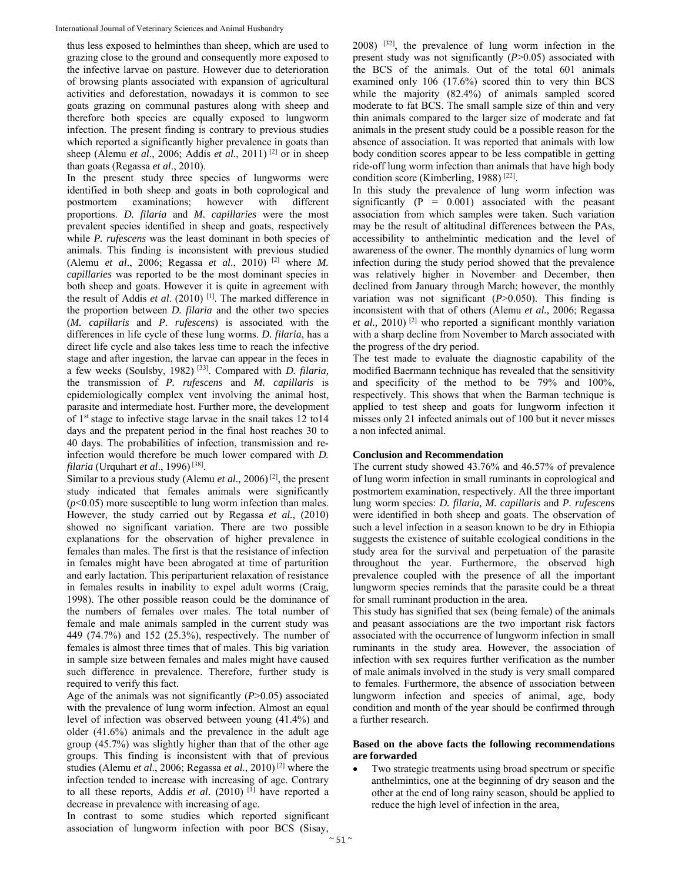thus less exposed to helminthes than sheep, which are used to grazing close to the ground and consequently more exposed to the infective larvae on pasture. However due to deterioration of browsing plants associated with expansion of agricultural activities and deforestation, nowadays it is common to see goats grazing on communal pastures along with sheep and therefore both species are equally exposed to lungworm infection. The present finding is contrary to previous studies which reported a significantly higher prevalence in goats than sheep (Alemu *et al*., 2006; Addis *et al.*, 2011) [2] or in sheep than goats (Regassa *et al*., 2010).

In the present study three species of lungworms were identified in both sheep and goats in both coprological and postmortem examinations; however with different proportions. *D. filaria* and *M. capillaries* were the most prevalent species identified in sheep and goats, respectively while *P. rufescens* was the least dominant in both species of animals. This finding is inconsistent with previous studied (Alemu *et al*., 2006; Regassa *et al*., 2010) [2] where *M. capillaries* was reported to be the most dominant species in both sheep and goats. However it is quite in agreement with the result of Addis *et al*. (2010) [1]. The marked difference in the proportion between *D. filaria* and the other two species (*M. capillaris* and *P. rufescens*) is associated with the differences in life cycle of these lung worms. *D. filaria*, has a direct life cycle and also takes less time to reach the infective stage and after ingestion, the larvae can appear in the feces in a few weeks (Soulsby, 1982) [33]. Compared with *D. filaria,* the transmission of *P. rufescens* and *M. capillaris* is epidemiologically complex vent involving the animal host, parasite and intermediate host. Further more, the development of 1st stage to infective stage larvae in the snail takes 12 to14 days and the prepatent period in the final host reaches 30 to 40 days. The probabilities of infection, transmission and reinfection would therefore be much lower compared with *D. filaria* (Urquhart *et al*., 1996) [38].

Similar to a previous study (Alemu *et al.,* 2006) [2], the present study indicated that females animals were significantly  $(p<0.05)$  more susceptible to lung worm infection than males. However, the study carried out by Regassa *et al.,* (2010) showed no significant variation. There are two possible explanations for the observation of higher prevalence in females than males. The first is that the resistance of infection in females might have been abrogated at time of parturition and early lactation. This periparturient relaxation of resistance in females results in inability to expel adult worms (Craig, 1998). The other possible reason could be the dominance of the numbers of females over males. The total number of female and male animals sampled in the current study was 449 (74.7%) and 152 (25.3%), respectively. The number of females is almost three times that of males. This big variation in sample size between females and males might have caused such difference in prevalence. Therefore, further study is required to verify this fact.

Age of the animals was not significantly (*P*>0.05) associated with the prevalence of lung worm infection. Almost an equal level of infection was observed between young (41.4%) and older (41.6%) animals and the prevalence in the adult age group (45.7%) was slightly higher than that of the other age groups. This finding is inconsistent with that of previous studies (Alemu *et al*., 2006; Regassa *et al*., 2010) [2] where the infection tended to increase with increasing of age. Contrary to all these reports, Addis et al. (2010) <sup>[1]</sup> have reported a decrease in prevalence with increasing of age.

In contrast to some studies which reported significant association of lungworm infection with poor BCS (Sisay, 2008) [32], the prevalence of lung worm infection in the present study was not significantly (*P*>0.05) associated with the BCS of the animals. Out of the total 601 animals examined only 106 (17.6%) scored thin to very thin BCS while the majority (82.4%) of animals sampled scored moderate to fat BCS. The small sample size of thin and very thin animals compared to the larger size of moderate and fat animals in the present study could be a possible reason for the absence of association. It was reported that animals with low body condition scores appear to be less compatible in getting ride-off lung worm infection than animals that have high body condition score (Kimberling, 1988)<sup>[22]</sup>.

In this study the prevalence of lung worm infection was significantly  $(P = 0.001)$  associated with the peasant association from which samples were taken. Such variation may be the result of altitudinal differences between the PAs, accessibility to anthelmintic medication and the level of awareness of the owner. The monthly dynamics of lung worm infection during the study period showed that the prevalence was relatively higher in November and December, then declined from January through March; however, the monthly variation was not significant (*P*>0.050). This finding is inconsistent with that of others (Alemu *et al.,* 2006; Regassa *et al.,* 2010) [2] who reported a significant monthly variation with a sharp decline from November to March associated with the progress of the dry period.

The test made to evaluate the diagnostic capability of the modified Baermann technique has revealed that the sensitivity and specificity of the method to be 79% and 100%, respectively. This shows that when the Barman technique is applied to test sheep and goats for lungworm infection it misses only 21 infected animals out of 100 but it never misses a non infected animal.

#### **Conclusion and Recommendation**

The current study showed 43.76% and 46.57% of prevalence of lung worm infection in small ruminants in coprological and postmortem examination, respectively. All the three important lung worm species: *D. filaria, M. capillaris* and *P. rufescens* were identified in both sheep and goats. The observation of such a level infection in a season known to be dry in Ethiopia suggests the existence of suitable ecological conditions in the study area for the survival and perpetuation of the parasite throughout the year. Furthermore, the observed high prevalence coupled with the presence of all the important lungworm species reminds that the parasite could be a threat for small ruminant production in the area.

This study has signified that sex (being female) of the animals and peasant associations are the two important risk factors associated with the occurrence of lungworm infection in small ruminants in the study area. However, the association of infection with sex requires further verification as the number of male animals involved in the study is very small compared to females. Furthermore, the absence of association between lungworm infection and species of animal, age, body condition and month of the year should be confirmed through a further research.

## **Based on the above facts the following recommendations are forwarded**

 Two strategic treatments using broad spectrum or specific anthelmintics, one at the beginning of dry season and the other at the end of long rainy season, should be applied to reduce the high level of infection in the area,